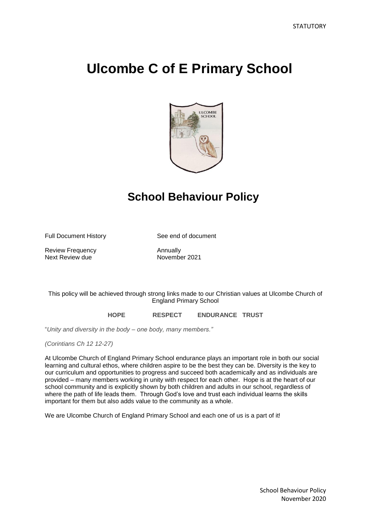# **Ulcombe C of E Primary School**



# **School Behaviour Policy**

Full Document History See end of document

Review Frequency<br>
Next Review due<br>
November 2021 Next Review due

# This policy will be achieved through strong links made to our Christian values at Ulcombe Church of England Primary School

# **HOPE RESPECT ENDURANCE TRUST**

"*Unity and diversity in the body – one body, many members."*

*(Corintians Ch 12 12-27)*

At Ulcombe Church of England Primary School endurance plays an important role in both our social learning and cultural ethos, where children aspire to be the best they can be. Diversity is the key to our curriculum and opportunities to progress and succeed both academically and as individuals are provided – many members working in unity with respect for each other. Hope is at the heart of our school community and is explicitly shown by both children and adults in our school, regardless of where the path of life leads them. Through God's love and trust each individual learns the skills important for them but also adds value to the community as a whole.

We are Ulcombe Church of England Primary School and each one of us is a part of it!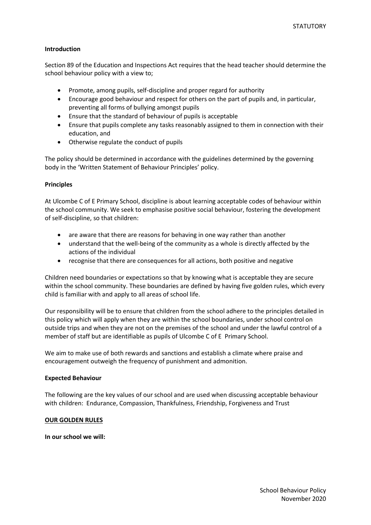# **Introduction**

Section 89 of the Education and Inspections Act requires that the head teacher should determine the school behaviour policy with a view to;

- Promote, among pupils, self-discipline and proper regard for authority
- Encourage good behaviour and respect for others on the part of pupils and, in particular, preventing all forms of bullying amongst pupils
- Ensure that the standard of behaviour of pupils is acceptable
- Ensure that pupils complete any tasks reasonably assigned to them in connection with their education, and
- Otherwise regulate the conduct of pupils

The policy should be determined in accordance with the guidelines determined by the governing body in the 'Written Statement of Behaviour Principles' policy.

# **Principles**

At Ulcombe C of E Primary School, discipline is about learning acceptable codes of behaviour within the school community. We seek to emphasise positive social behaviour, fostering the development of self-discipline, so that children:

- are aware that there are reasons for behaving in one way rather than another
- understand that the well-being of the community as a whole is directly affected by the actions of the individual
- recognise that there are consequences for all actions, both positive and negative

Children need boundaries or expectations so that by knowing what is acceptable they are secure within the school community. These boundaries are defined by having five golden rules, which every child is familiar with and apply to all areas of school life.

Our responsibility will be to ensure that children from the school adhere to the principles detailed in this policy which will apply when they are within the school boundaries, under school control on outside trips and when they are not on the premises of the school and under the lawful control of a member of staff but are identifiable as pupils of Ulcombe C of E Primary School.

We aim to make use of both rewards and sanctions and establish a climate where praise and encouragement outweigh the frequency of punishment and admonition.

# **Expected Behaviour**

The following are the key values of our school and are used when discussing acceptable behaviour with children: Endurance, Compassion, Thankfulness, Friendship, Forgiveness and Trust

# **OUR GOLDEN RULES**

**In our school we will:**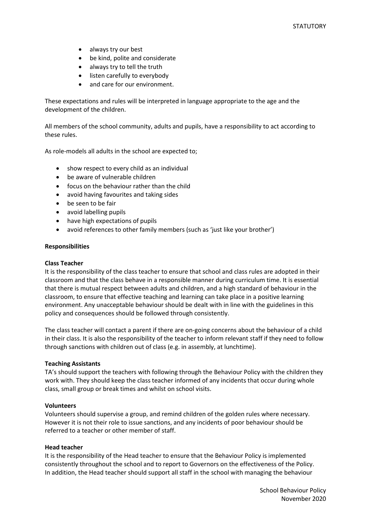- always try our best
- be kind, polite and considerate
- always try to tell the truth
- listen carefully to everybody
- and care for our environment.

These expectations and rules will be interpreted in language appropriate to the age and the development of the children.

All members of the school community, adults and pupils, have a responsibility to act according to these rules.

As role-models all adults in the school are expected to;

- show respect to every child as an individual
- be aware of vulnerable children
- focus on the behaviour rather than the child
- avoid having favourites and taking sides
- be seen to be fair
- avoid labelling pupils
- have high expectations of pupils
- avoid references to other family members (such as 'just like your brother')

#### **Responsibilities**

#### **Class Teacher**

It is the responsibility of the class teacher to ensure that school and class rules are adopted in their classroom and that the class behave in a responsible manner during curriculum time. It is essential that there is mutual respect between adults and children, and a high standard of behaviour in the classroom, to ensure that effective teaching and learning can take place in a positive learning environment. Any unacceptable behaviour should be dealt with in line with the guidelines in this policy and consequences should be followed through consistently.

The class teacher will contact a parent if there are on-going concerns about the behaviour of a child in their class. It is also the responsibility of the teacher to inform relevant staff if they need to follow through sanctions with children out of class (e.g. in assembly, at lunchtime).

#### **Teaching Assistants**

TA's should support the teachers with following through the Behaviour Policy with the children they work with. They should keep the class teacher informed of any incidents that occur during whole class, small group or break times and whilst on school visits.

#### **Volunteers**

Volunteers should supervise a group, and remind children of the golden rules where necessary. However it is not their role to issue sanctions, and any incidents of poor behaviour should be referred to a teacher or other member of staff.

#### **Head teacher**

It is the responsibility of the Head teacher to ensure that the Behaviour Policy is implemented consistently throughout the school and to report to Governors on the effectiveness of the Policy. In addition, the Head teacher should support all staff in the school with managing the behaviour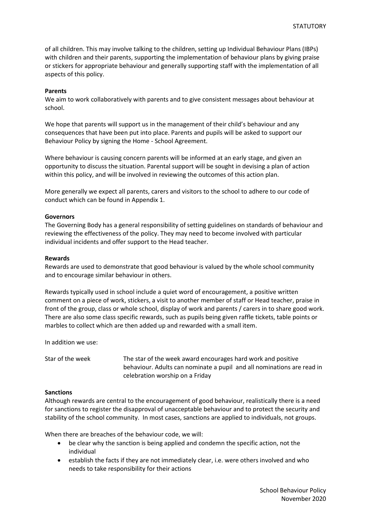of all children. This may involve talking to the children, setting up Individual Behaviour Plans (IBPs) with children and their parents, supporting the implementation of behaviour plans by giving praise or stickers for appropriate behaviour and generally supporting staff with the implementation of all aspects of this policy.

# **Parents**

We aim to work collaboratively with parents and to give consistent messages about behaviour at school.

We hope that parents will support us in the management of their child's behaviour and any consequences that have been put into place. Parents and pupils will be asked to support our Behaviour Policy by signing the Home - School Agreement.

Where behaviour is causing concern parents will be informed at an early stage, and given an opportunity to discuss the situation. Parental support will be sought in devising a plan of action within this policy, and will be involved in reviewing the outcomes of this action plan.

More generally we expect all parents, carers and visitors to the school to adhere to our code of conduct which can be found in Appendix 1.

#### **Governors**

The Governing Body has a general responsibility of setting guidelines on standards of behaviour and reviewing the effectiveness of the policy. They may need to become involved with particular individual incidents and offer support to the Head teacher.

#### **Rewards**

Rewards are used to demonstrate that good behaviour is valued by the whole school community and to encourage similar behaviour in others.

Rewards typically used in school include a quiet word of encouragement, a positive written comment on a piece of work, stickers, a visit to another member of staff or Head teacher, praise in front of the group, class or whole school, display of work and parents / carers in to share good work. There are also some class specific rewards, such as pupils being given raffle tickets, table points or marbles to collect which are then added up and rewarded with a small item.

In addition we use:

Star of the week The star of the week award encourages hard work and positive behaviour. Adults can nominate a pupil and all nominations are read in celebration worship on a Friday

# **Sanctions**

Although rewards are central to the encouragement of good behaviour, realistically there is a need for sanctions to register the disapproval of unacceptable behaviour and to protect the security and stability of the school community. In most cases, sanctions are applied to individuals, not groups.

When there are breaches of the behaviour code, we will:

- be clear why the sanction is being applied and condemn the specific action, not the individual
- establish the facts if they are not immediately clear, i.e. were others involved and who needs to take responsibility for their actions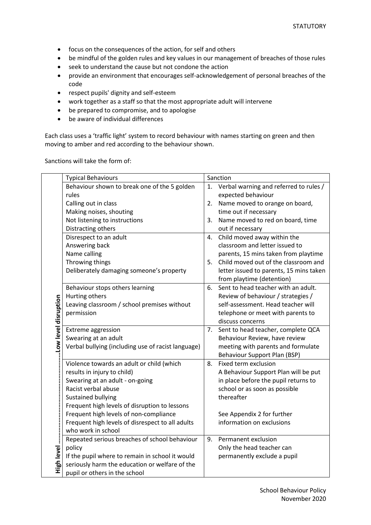- focus on the consequences of the action, for self and others
- be mindful of the golden rules and key values in our management of breaches of those rules
- seek to understand the cause but not condone the action
- provide an environment that encourages self-acknowledgement of personal breaches of the code
- respect pupils' dignity and self-esteem
- work together as a staff so that the most appropriate adult will intervene
- be prepared to compromise, and to apologise
- be aware of individual differences

Each class uses a 'traffic light' system to record behaviour with names starting on green and then moving to amber and red according to the behaviour shown.

Sanctions will take the form of:

|                      | <b>Typical Behaviours</b>                                              |    | Sanction                                |
|----------------------|------------------------------------------------------------------------|----|-----------------------------------------|
|                      | Behaviour shown to break one of the 5 golden                           | 1. | Verbal warning and referred to rules /  |
|                      | rules                                                                  |    | expected behaviour                      |
|                      | Calling out in class                                                   | 2. | Name moved to orange on board,          |
|                      | Making noises, shouting                                                |    | time out if necessary                   |
|                      | Not listening to instructions                                          | 3. | Name moved to red on board, time        |
|                      | Distracting others                                                     |    | out if necessary                        |
|                      | Disrespect to an adult                                                 | 4. | Child moved away within the             |
|                      | Answering back                                                         |    | classroom and letter issued to          |
|                      | Name calling                                                           |    | parents, 15 mins taken from playtime    |
| Low level disruption | Throwing things                                                        | 5. | Child moved out of the classroom and    |
|                      | Deliberately damaging someone's property                               |    | letter issued to parents, 15 mins taken |
|                      |                                                                        |    | from playtime (detention)               |
|                      | Behaviour stops others learning                                        | 6. | Sent to head teacher with an adult.     |
|                      | Hurting others                                                         |    | Review of behaviour / strategies /      |
|                      | Leaving classroom / school premises without                            |    | self-assessment. Head teacher will      |
|                      | permission                                                             |    | telephone or meet with parents to       |
|                      |                                                                        |    | discuss concerns                        |
|                      | Extreme aggression                                                     | 7. | Sent to head teacher, complete QCA      |
|                      | Swearing at an adult                                                   |    | Behaviour Review, have review           |
|                      | Verbal bullying (including use of racist language)                     |    | meeting with parents and formulate      |
|                      |                                                                        |    | Behaviour Support Plan (BSP)            |
|                      | Violence towards an adult or child (which                              | 8. | Fixed term exclusion                    |
|                      | results in injury to child)                                            |    | A Behaviour Support Plan will be put    |
|                      | Swearing at an adult - on-going                                        |    | in place before the pupil returns to    |
|                      | Racist verbal abuse                                                    |    | school or as soon as possible           |
| High level           | Sustained bullying                                                     |    | thereafter                              |
|                      | Frequent high levels of disruption to lessons                          |    |                                         |
|                      | Frequent high levels of non-compliance                                 |    | See Appendix 2 for further              |
|                      | Frequent high levels of disrespect to all adults<br>who work in school |    | information on exclusions               |
|                      |                                                                        | 9. |                                         |
|                      | Repeated serious breaches of school behaviour                          |    | Permanent exclusion                     |
|                      | policy                                                                 |    | Only the head teacher can               |
|                      | If the pupil where to remain in school it would                        |    | permanently exclude a pupil             |
|                      | seriously harm the education or welfare of the                         |    |                                         |
|                      | pupil or others in the school                                          |    |                                         |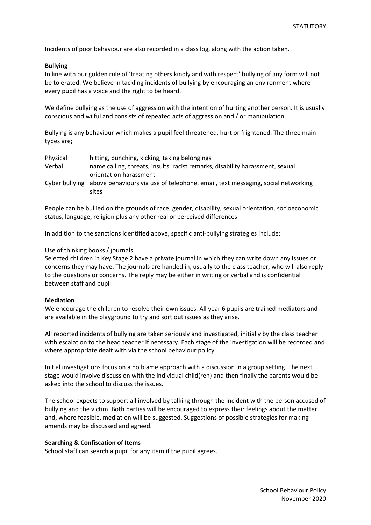Incidents of poor behaviour are also recorded in a class log, along with the action taken.

#### **Bullying**

In line with our golden rule of 'treating others kindly and with respect' bullying of any form will not be tolerated. We believe in tackling incidents of bullying by encouraging an environment where every pupil has a voice and the right to be heard.

We define bullying as the use of aggression with the intention of hurting another person. It is usually conscious and wilful and consists of repeated acts of aggression and / or manipulation.

Bullying is any behaviour which makes a pupil feel threatened, hurt or frightened. The three main types are;

| Physical | hitting, punching, kicking, taking belongings                                                  |
|----------|------------------------------------------------------------------------------------------------|
| Verbal   | name calling, threats, insults, racist remarks, disability harassment, sexual                  |
|          | orientation harassment                                                                         |
|          | Cyber bullying above behaviours via use of telephone, email, text messaging, social networking |
|          | sites                                                                                          |

People can be bullied on the grounds of race, gender, disability, sexual orientation, socioeconomic status, language, religion plus any other real or perceived differences.

In addition to the sanctions identified above, specific anti-bullying strategies include;

#### Use of thinking books / journals

Selected children in Key Stage 2 have a private journal in which they can write down any issues or concerns they may have. The journals are handed in, usually to the class teacher, who will also reply to the questions or concerns. The reply may be either in writing or verbal and is confidential between staff and pupil.

#### **Mediation**

We encourage the children to resolve their own issues. All year 6 pupils are trained mediators and are available in the playground to try and sort out issues as they arise.

All reported incidents of bullying are taken seriously and investigated, initially by the class teacher with escalation to the head teacher if necessary. Each stage of the investigation will be recorded and where appropriate dealt with via the school behaviour policy.

Initial investigations focus on a no blame approach with a discussion in a group setting. The next stage would involve discussion with the individual child(ren) and then finally the parents would be asked into the school to discuss the issues.

The school expects to support all involved by talking through the incident with the person accused of bullying and the victim. Both parties will be encouraged to express their feelings about the matter and, where feasible, mediation will be suggested. Suggestions of possible strategies for making amends may be discussed and agreed.

#### **Searching & Confiscation of Items**

School staff can search a pupil for any item if the pupil agrees.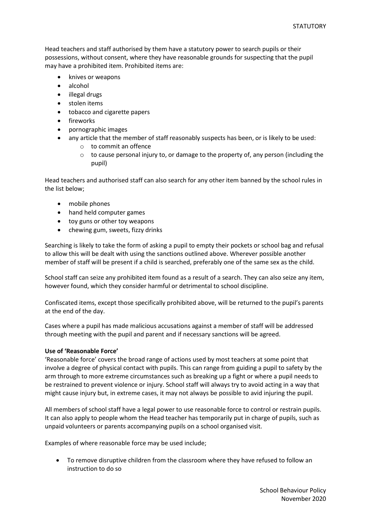Head teachers and staff authorised by them have a statutory power to search pupils or their possessions, without consent, where they have reasonable grounds for suspecting that the pupil may have a prohibited item. Prohibited items are:

- knives or weapons
- alcohol
- illegal drugs
- stolen items
- tobacco and cigarette papers
- fireworks
- pornographic images
- any article that the member of staff reasonably suspects has been, or is likely to be used:
	- o to commit an offence
	- $\circ$  to cause personal injury to, or damage to the property of, any person (including the pupil)

Head teachers and authorised staff can also search for any other item banned by the school rules in the list below;

- mobile phones
- hand held computer games
- toy guns or other toy weapons
- chewing gum, sweets, fizzy drinks

Searching is likely to take the form of asking a pupil to empty their pockets or school bag and refusal to allow this will be dealt with using the sanctions outlined above. Wherever possible another member of staff will be present if a child is searched, preferably one of the same sex as the child.

School staff can seize any prohibited item found as a result of a search. They can also seize any item, however found, which they consider harmful or detrimental to school discipline.

Confiscated items, except those specifically prohibited above, will be returned to the pupil's parents at the end of the day.

Cases where a pupil has made malicious accusations against a member of staff will be addressed through meeting with the pupil and parent and if necessary sanctions will be agreed.

# **Use of 'Reasonable Force'**

'Reasonable force' covers the broad range of actions used by most teachers at some point that involve a degree of physical contact with pupils. This can range from guiding a pupil to safety by the arm through to more extreme circumstances such as breaking up a fight or where a pupil needs to be restrained to prevent violence or injury. School staff will always try to avoid acting in a way that might cause injury but, in extreme cases, it may not always be possible to avid injuring the pupil.

All members of school staff have a legal power to use reasonable force to control or restrain pupils. It can also apply to people whom the Head teacher has temporarily put in charge of pupils, such as unpaid volunteers or parents accompanying pupils on a school organised visit.

Examples of where reasonable force may be used include;

 To remove disruptive children from the classroom where they have refused to follow an instruction to do so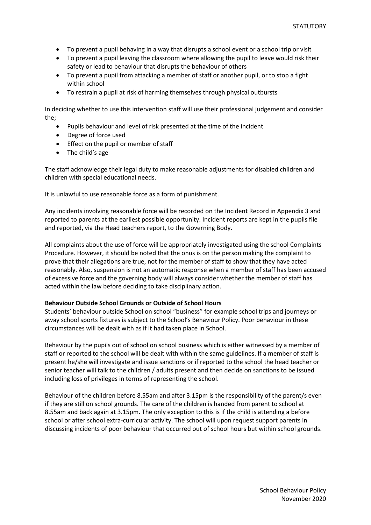- To prevent a pupil behaving in a way that disrupts a school event or a school trip or visit
- To prevent a pupil leaving the classroom where allowing the pupil to leave would risk their safety or lead to behaviour that disrupts the behaviour of others
- To prevent a pupil from attacking a member of staff or another pupil, or to stop a fight within school
- To restrain a pupil at risk of harming themselves through physical outbursts

In deciding whether to use this intervention staff will use their professional judgement and consider the;

- Pupils behaviour and level of risk presented at the time of the incident
- Degree of force used
- **Effect on the pupil or member of staff**
- The child's age

The staff acknowledge their legal duty to make reasonable adjustments for disabled children and children with special educational needs.

It is unlawful to use reasonable force as a form of punishment.

Any incidents involving reasonable force will be recorded on the Incident Record in Appendix 3 and reported to parents at the earliest possible opportunity. Incident reports are kept in the pupils file and reported, via the Head teachers report, to the Governing Body.

All complaints about the use of force will be appropriately investigated using the school Complaints Procedure. However, it should be noted that the onus is on the person making the complaint to prove that their allegations are true, not for the member of staff to show that they have acted reasonably. Also, suspension is not an automatic response when a member of staff has been accused of excessive force and the governing body will always consider whether the member of staff has acted within the law before deciding to take disciplinary action.

# **Behaviour Outside School Grounds or Outside of School Hours**

Students' behaviour outside School on school "business" for example school trips and journeys or away school sports fixtures is subject to the School's Behaviour Policy. Poor behaviour in these circumstances will be dealt with as if it had taken place in School.

Behaviour by the pupils out of school on school business which is either witnessed by a member of staff or reported to the school will be dealt with within the same guidelines. If a member of staff is present he/she will investigate and issue sanctions or if reported to the school the head teacher or senior teacher will talk to the children / adults present and then decide on sanctions to be issued including loss of privileges in terms of representing the school.

Behaviour of the children before 8.55am and after 3.15pm is the responsibility of the parent/s even if they are still on school grounds. The care of the children is handed from parent to school at 8.55am and back again at 3.15pm. The only exception to this is if the child is attending a before school or after school extra-curricular activity. The school will upon request support parents in discussing incidents of poor behaviour that occurred out of school hours but within school grounds.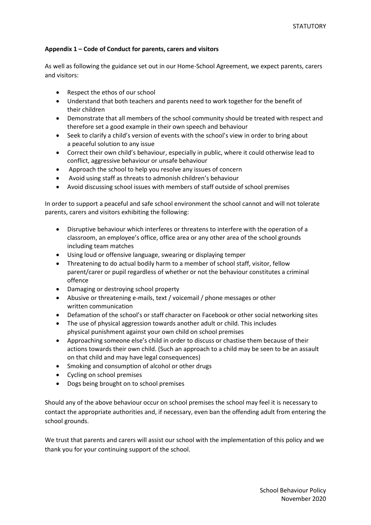# **Appendix 1 – Code of Conduct for parents, carers and visitors**

As well as following the guidance set out in our Home-School Agreement, we expect parents, carers and visitors:

- Respect the ethos of our school
- Understand that both teachers and parents need to work together for the benefit of their children
- Demonstrate that all members of the school community should be treated with respect and therefore set a good example in their own speech and behaviour
- Seek to clarify a child's version of events with the school's view in order to bring about a peaceful solution to any issue
- Correct their own child's behaviour, especially in public, where it could otherwise lead to conflict, aggressive behaviour or unsafe behaviour
- Approach the school to help you resolve any issues of concern
- Avoid using staff as threats to admonish children's behaviour
- Avoid discussing school issues with members of staff outside of school premises

In order to support a peaceful and safe school environment the school cannot and will not tolerate parents, carers and visitors exhibiting the following:

- Disruptive behaviour which interferes or threatens to interfere with the operation of a classroom, an employee's office, office area or any other area of the school grounds including team matches
- Using loud or offensive language, swearing or displaying temper
- Threatening to do actual bodily harm to a member of school staff, visitor, fellow parent/carer or pupil regardless of whether or not the behaviour constitutes a criminal offence
- Damaging or destroying school property
- Abusive or threatening e-mails, text / voicemail / phone messages or other written communication
- Defamation of the school's or staff character on Facebook or other social networking sites
- The use of physical aggression towards another adult or child. This includes physical punishment against your own child on school premises
- Approaching someone else's child in order to discuss or chastise them because of their actions towards their own child. (Such an approach to a child may be seen to be an assault on that child and may have legal consequences)
- Smoking and consumption of alcohol or other drugs
- Cycling on school premises
- Dogs being brought on to school premises

Should any of the above behaviour occur on school premises the school may feel it is necessary to contact the appropriate authorities and, if necessary, even ban the offending adult from entering the school grounds.

We trust that parents and carers will assist our school with the implementation of this policy and we thank you for your continuing support of the school.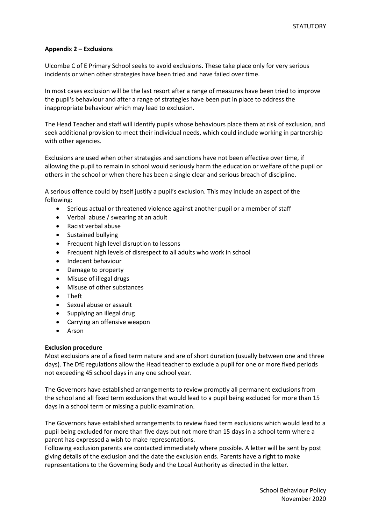# **Appendix 2 – Exclusions**

Ulcombe C of E Primary School seeks to avoid exclusions. These take place only for very serious incidents or when other strategies have been tried and have failed over time.

In most cases exclusion will be the last resort after a range of measures have been tried to improve the pupil's behaviour and after a range of strategies have been put in place to address the inappropriate behaviour which may lead to exclusion.

The Head Teacher and staff will identify pupils whose behaviours place them at risk of exclusion, and seek additional provision to meet their individual needs, which could include working in partnership with other agencies.

Exclusions are used when other strategies and sanctions have not been effective over time, if allowing the pupil to remain in school would seriously harm the education or welfare of the pupil or others in the school or when there has been a single clear and serious breach of discipline.

A serious offence could by itself justify a pupil's exclusion. This may include an aspect of the following:

- Serious actual or threatened violence against another pupil or a member of staff
- Verbal abuse / swearing at an adult
- Racist verbal abuse
- Sustained bullying
- **•** Frequent high level disruption to lessons
- Frequent high levels of disrespect to all adults who work in school
- Indecent behaviour
- Damage to property
- Misuse of illegal drugs
- Misuse of other substances
- Theft
- Sexual abuse or assault
- Supplying an illegal drug
- Carrying an offensive weapon
- Arson

# **Exclusion procedure**

Most exclusions are of a fixed term nature and are of short duration (usually between one and three days). The DfE regulations allow the Head teacher to exclude a pupil for one or more fixed periods not exceeding 45 school days in any one school year.

The Governors have established arrangements to review promptly all permanent exclusions from the school and all fixed term exclusions that would lead to a pupil being excluded for more than 15 days in a school term or missing a public examination.

The Governors have established arrangements to review fixed term exclusions which would lead to a pupil being excluded for more than five days but not more than 15 days in a school term where a parent has expressed a wish to make representations.

Following exclusion parents are contacted immediately where possible. A letter will be sent by post giving details of the exclusion and the date the exclusion ends. Parents have a right to make representations to the Governing Body and the Local Authority as directed in the letter.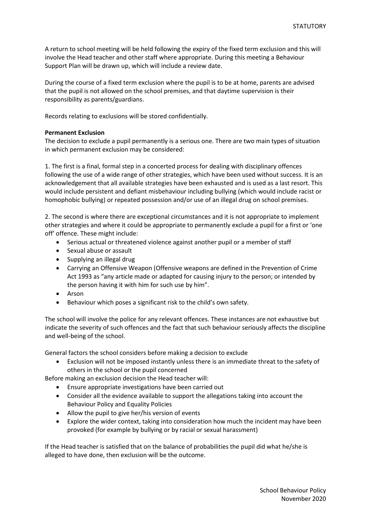A return to school meeting will be held following the expiry of the fixed term exclusion and this will involve the Head teacher and other staff where appropriate. During this meeting a Behaviour Support Plan will be drawn up, which will include a review date.

During the course of a fixed term exclusion where the pupil is to be at home, parents are advised that the pupil is not allowed on the school premises, and that daytime supervision is their responsibility as parents/guardians.

Records relating to exclusions will be stored confidentially.

# **Permanent Exclusion**

The decision to exclude a pupil permanently is a serious one. There are two main types of situation in which permanent exclusion may be considered:

1. The first is a final, formal step in a concerted process for dealing with disciplinary offences following the use of a wide range of other strategies, which have been used without success. It is an acknowledgement that all available strategies have been exhausted and is used as a last resort. This would include persistent and defiant misbehaviour including bullying (which would include racist or homophobic bullying) or repeated possession and/or use of an illegal drug on school premises.

2. The second is where there are exceptional circumstances and it is not appropriate to implement other strategies and where it could be appropriate to permanently exclude a pupil for a first or 'one off' offence. These might include:

- Serious actual or threatened violence against another pupil or a member of staff
- Sexual abuse or assault
- Supplying an illegal drug
- Carrying an Offensive Weapon (Offensive weapons are defined in the Prevention of Crime Act 1993 as "any article made or adapted for causing injury to the person; or intended by the person having it with him for such use by him".
- Arson
- Behaviour which poses a significant risk to the child's own safety.

The school will involve the police for any relevant offences. These instances are not exhaustive but indicate the severity of such offences and the fact that such behaviour seriously affects the discipline and well-being of the school.

General factors the school considers before making a decision to exclude

 Exclusion will not be imposed instantly unless there is an immediate threat to the safety of others in the school or the pupil concerned

Before making an exclusion decision the Head teacher will:

- Ensure appropriate investigations have been carried out
- Consider all the evidence available to support the allegations taking into account the Behaviour Policy and Equality Policies
- Allow the pupil to give her/his version of events
- Explore the wider context, taking into consideration how much the incident may have been provoked (for example by bullying or by racial or sexual harassment)

If the Head teacher is satisfied that on the balance of probabilities the pupil did what he/she is alleged to have done, then exclusion will be the outcome.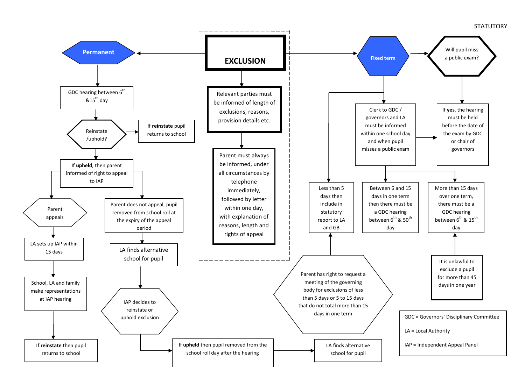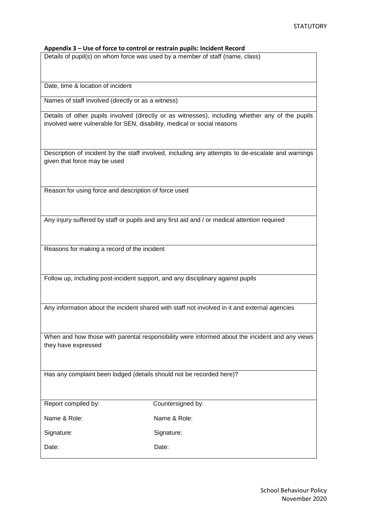# **Appendix 3 – Use of force to control or restrain pupils: Incident Record**

Details of pupil(s) on whom force was used by a member of staff (name, class)

Date, time & location of incident

Names of staff involved (directly or as a witness)

Details of other pupils involved (directly or as witnesses), including whether any of the pupils involved were vulnerable for SEN, disability, medical or social reasons

Description of incident by the staff involved, including any attempts to de-escalate and warnings given that force may be used

Reason for using force and description of force used

Any injury suffered by staff or pupils and any first aid and / or medical attention required

Reasons for making a record of the incident

Follow up, including post-incident support, and any disciplinary against pupils

Any information about the incident shared with staff not involved in it and external agencies

When and how those with parental responsibility were informed about the incident and any views they have expressed

Has any complaint been lodged (details should not be recorded here)?

| Report compiled by: | Countersigned by: |
|---------------------|-------------------|
| Name & Role:        | Name & Role:      |
| Signature:          | Signature:        |
| Date:               | Date:             |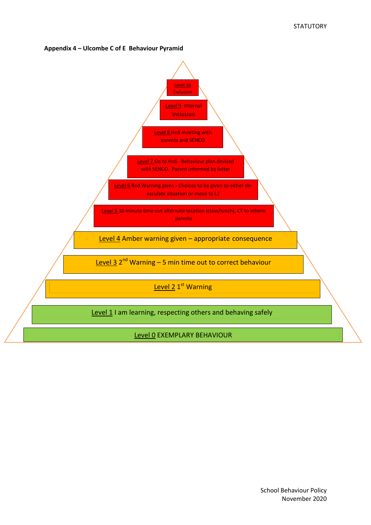# **Appendix 4 – Ulcombe C of E Behaviour Pyramid**

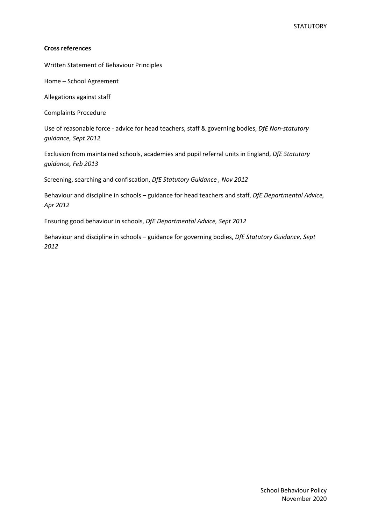# **Cross references**

Written Statement of Behaviour Principles

Home – School Agreement

Allegations against staff

Complaints Procedure

Use of reasonable force - advice for head teachers, staff & governing bodies, *DfE Non-statutory guidance, Sept 2012*

Exclusion from maintained schools, academies and pupil referral units in England, *DfE Statutory guidance, Feb 2013*

Screening, searching and confiscation, *DfE Statutory Guidance , Nov 2012*

Behaviour and discipline in schools – guidance for head teachers and staff, *DfE Departmental Advice, Apr 2012* 

Ensuring good behaviour in schools, *DfE Departmental Advice, Sept 2012*

Behaviour and discipline in schools – guidance for governing bodies, *DfE Statutory Guidance, Sept 2012*